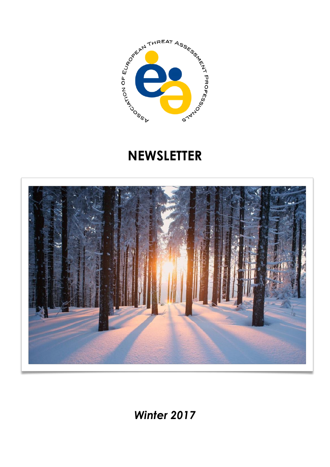

# **NEWSLETTER**



*Winter 2017*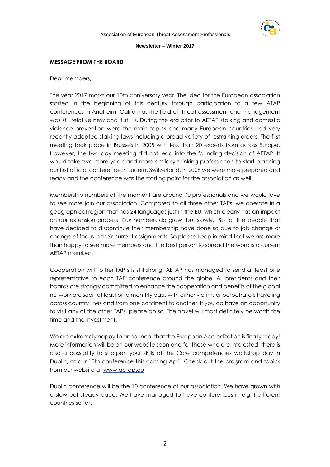

## **MESSAGE FROM THE BOARD**

Dear members,

The year 2017 marks our 10th anniversary year. The idea for the European association started in the beginning of this century through participation to a few ATAP conferences in Anaheim, California. The field of threat assessment and management was still relative new and it still is. During the era prior to AETAP stalking and domestic violence prevention were the main topics and many European countries had very recently adopted stalking laws including a broad variety of restraining orders. The first meeting took place in Brussels in 2005 with less than 20 experts from across Europe. However, the two day meeting did not lead into the founding decision of AETAP. It would take two more years and more similarly thinking professionals to start planning our first official conference in Lucern, Switzerland. In 2008 we were more prepared and ready and the conference was the starting point for the association as well.

Membership numbers at the moment are around 70 professionals and we would love to see more join our association. Compared to all three other TAPs, we operate in a geographical region that has 24 languages just in the EU, which clearly has an impact on our extension process. Our numbers do grow, but slowly. So far the people that have decided to discontinue their membership have done so due to job change or change of focus in their current assignments. So please keep in mind that we are more than happy to see more members and the best person to spread the word is a current AETAP member.

Cooperation with other TAP's is still strong. AETAP has managed to send at least one representative to each TAP conference around the globe. All presidents and their boards are strongly committed to enhance the cooperation and benefits of the global network are seen at least on a monthly basis with either victims or perpetrators traveling across country lines and from one continent to another. If you do have an opportunity to visit any of the other TAPs, please do so. The travel will most definitely be worth the time and the investment.

We are extremely happy to announce, that the European Accreditation is finally ready! More information will be on our website soon and for those who are interested, there is also a possibility to sharpen your skills at the Core competencies workshop day in Dublin, at our 10th conference this coming April. Check out the program and topics from our website at [www.aetap.eu](http://www.aetap.eu/)

Dublin conference will be the 10 conference of our association. We have grown with a slow but steady pace. We have managed to have conferences in eight different countries so far.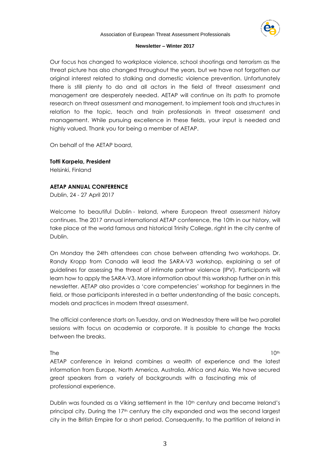

Our focus has changed to workplace violence, school shootings and terrorism as the threat picture has also changed throughout the years, but we have not forgotten our original interest related to stalking and domestic violence prevention. Unfortunately there is still plenty to do and all actors in the field of threat assessment and management are desperately needed. AETAP will continue on its path to promote research on threat assessment and management, to implement tools and structures in relation to the topic, teach and train professionals in threat assessment and management. While pursuing excellence in these fields, your input is needed and highly valued. Thank you for being a member of AETAP.

On behalf of the AETAP board,

**Totti Karpela, President** Helsinki, Finland

# **AETAP ANNUAL CONFERENCE**

Dublin, 24 - 27 April 2017

Welcome to beautiful Dublin - Ireland, where European threat assessment history continues. The 2017 annual international AETAP conference, the 10th in our history, will take place at the world famous and historical Trinity College, right in the city centre of Dublin.

On Monday the 24th attendees can chose between attending two workshops. Dr. Randy Kropp from Canada will lead the SARA-V3 workshop, explaining a set of guidelines for assessing the threat of intimate partner violence (IPV). Participants will learn how to apply the SARA-V3. More information about this workshop further on in this newsletter. AETAP also provides a 'core competencies' workshop for beginners in the field, or those participants interested in a better understanding of the basic concepts, models and practices in modern threat assessment.

The official conference starts on Tuesday, and on Wednesday there will be two parallel sessions with focus on academia or corporate. It is possible to change the tracks between the breaks.

The the  $10^{th}$ AETAP conference in Ireland combines a wealth of experience and the latest information from Europe, North America, Australia, Africa and Asia. We have secured great speakers from a variety of backgrounds with a fascinating mix of professional experience.

Dublin was founded as a Viking settlement in the 10<sup>th</sup> century and became Ireland's principal city. During the 17th century the city expanded and was the second largest city in the British Empire for a short period. Consequently, to the partition of Ireland in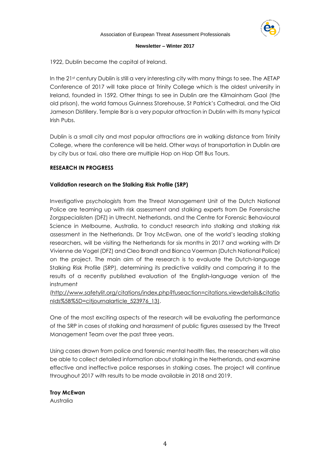

1922, Dublin became the capital of Ireland.

In the 21st century Dublin is still a very interesting city with many things to see. The AETAP Conference of 2017 will take place at Trinity College which is the oldest university in Ireland, founded in 1592. Other things to see in Dublin are the Kilmainham Gaol (the old prison), the world famous Guinness Storehouse, St Patrick's Cathedral, and the Old Jameson Distillery. Temple Bar is a very popular attraction in Dublin with its many typical Irish Pubs.

Dublin is a small city and most popular attractions are in walking distance from Trinity College, where the conference will be held. Other ways of transportation in Dublin are by city bus or taxi, also there are multiple Hop on Hop Off Bus Tours.

# **RESEARCH IN PROGRESS**

# **Validation research on the Stalking Risk Profile (SRP)**

Investigative psychologists from the Threat Management Unit of the Dutch National Police are teaming up with risk assessment and stalking experts from De Forensische Zorgspecialisten (DFZ) in Utrecht, Netherlands, and the Centre for Forensic Behavioural Science in Melbourne, Australia, to conduct research into stalking and stalking risk assessment in the Netherlands. Dr Troy McEwan, one of the world's leading stalking researchers, will be visiting the Netherlands for six months in 2017 and working with Dr Vivienne de Vogel (DFZ) and Cleo Brandt and Bianca Voerman (Dutch National Police) on the project. The main aim of the research is to evaluate the Dutch-language Stalking Risk Profile (SRP), determining its predictive validity and comparing it to the results of a recently published evaluation of the [English-language](http://www.safetylit.org/citations/index.php?fuseaction=citations.viewdetails&citationIds%255B%255D=citjournalarticle_523976_13) version of the instrument

[\(http://www.safetylit.org/citations/index.php?fuseaction=citations.viewdetails&citatio](http://www.safetylit.org/citations/index.php?fuseaction=citations.viewdetails&citationIds%255B%255D=citjournalarticle_523976_13) [nIds%5B%5D=citjournalarticle\\_523976\\_13\)](http://www.safetylit.org/citations/index.php?fuseaction=citations.viewdetails&citationIds%255B%255D=citjournalarticle_523976_13).

One of the most exciting aspects of the research will be evaluating the performance of the SRP in cases of stalking and harassment of public figures assessed by the Threat Management Team over the past three years.

Using cases drawn from police and forensic mental health files, the researchers will also be able to collect detailed information about stalking in the Netherlands, and examine effective and ineffective police responses in stalking cases. The project will continue throughout 2017 with results to be made available in 2018 and 2019.

# **Troy McEwan**

Australia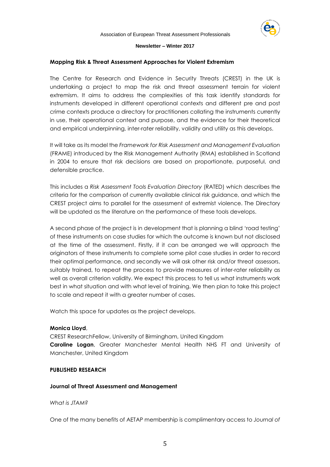

## **Mapping Risk & Threat Assessment Approaches for Violent Extremism**

The Centre for Research and Evidence in Security Threats (CREST) in the UK is undertaking a project to map the risk and threat assessment terrain for violent extremism. It aims to address the complexities of this task identify standards for instruments developed in different operational contexts and different pre and post crime contexts produce a directory for practitioners collating the instruments currently in use, their operational context and purpose, and the evidence for their theoretical and empirical underpinning, inter-rater reliability, validity and utility as this develops.

It will take as its model the *Framework for Risk Assessment and Management Evaluation* (FRAME) introduced by the Risk Management Authority (RMA) established in Scotland in 2004 to ensure that risk decisions are based on proportionate, purposeful, and defensible practice.

This includes a *Risk Assessment Tools Evaluation Directory* (RATED) which describes the criteria for the comparison of currently available clinical risk guidance, and which the CREST project aims to parallel for the assessment of extremist violence. The Directory will be updated as the literature on the performance of these tools develops.

A second phase of the project is in development that is planning a blind 'road testing' of these instruments on case studies for which the outcome is known but not disclosed at the time of the assessment. Firstly, if it can be arranged we will approach the originators of these instruments to complete some pilot case studies in order to record their optimal performance, and secondly we will ask other risk and/or threat assessors, suitably trained, to repeat the process to provide measures of inter-rater reliability as well as overall criterion validity. We expect this process to tell us what instruments work best in what situation and with what level of training. We then plan to take this project to scale and repeat it with a greater number of cases.

Watch this space for updates as the project develops.

## **Monica Lloyd**,

CREST ResearchFellow, University of Birmingham, United Kingdom **Caroline Logan**, Greater Manchester Mental Health NHS FT and University of Manchester, United Kingdom

## **PUBLISHED RESEARCH**

## **Journal of Threat Assessment and Management**

## *What is JTAM?*

One of the many benefits of AETAP membership is complimentary access to *Journal of*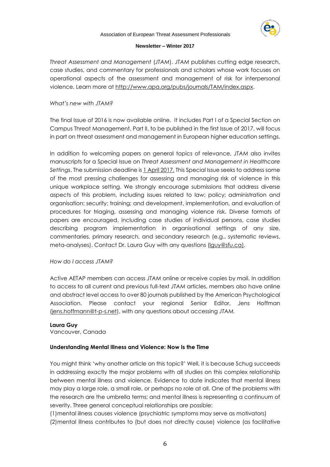

*Threat Assessment and Management* (*JTAM*). *JTAM* publishes cutting edge research, case studies, and commentary for professionals and scholars whose work focuses on operational aspects of the assessment and management of risk for interpersonal violence. Learn more at [http://www.apa.org/pubs/journals/TAM/index.aspx.](http://www.apa.org/pubs/journals/TAM/index.aspx)

# *What's new with JTAM?*

The final Issue of 2016 is now available online. It includes Part I of a Special Section on Campus Threat Management. Part II, to be published in the first Issue of 2017, will focus in part on threat assessment and management in European higher education settings.

In addition to welcoming papers on general topics of relevance, *JTAM* also invites manuscripts for a Special Issue on *Threat Assessment and Management in Healthcare Settings*. The submission deadline is 1 April 2017. This Special Issue seeks to address some of the most pressing challenges for assessing and managing risk of violence in this unique workplace setting. We strongly encourage submissions that address diverse aspects of this problem, including issues related to law; policy; administration and organisation; security; training; and development, implementation, and evaluation of procedures for triaging, assessing and managing violence risk. Diverse formats of papers are encouraged, including case studies of individual persons, case studies describing program implementation in organisational settings of any size, commentaries, primary research, and secondary research (e.g., systematic reviews, meta-analyses). Contact Dr. Laura Guy with any questions [\(lguy@sfu.ca\).](mailto:lguy@sfu.ca))

## *How do I access JTAM?*

Active AETAP members can access *JTAM* online or receive copies by mail. In addition to access to all current and previous full-text *JTAM* articles, members also have online and abstract level access to over 80 journals published by the American Psychological Association. Please contact your regional Senior Editor, Jens Hoffman [\(jens.hoffmann@t-p-s.net\)](mailto:jens.hoffmann@t-p-s.net), with any questions about accessing *JTAM.*

# **Laura Guy**

Vancouver, Canada

## **Understanding Mental Illness and Violence: Now Is the Time**

You might think 'why another article on this topic?' Well, it is because Schug succeeds in addressing exactly the major problems with all studies on this complex relationship between mental illness and violence. Evidence to date indicates that mental illness may play a large role, a small role, or perhaps no role at all. One of the problems with the research are the umbrella terms; and mental illness is representing a continuum of severity. Three general conceptual relationships are possible:

(1)mental illness causes violence (psychiatric symptoms may serve as motivators) (2)mental illness contributes to (but does not directly cause) violence (as facilitative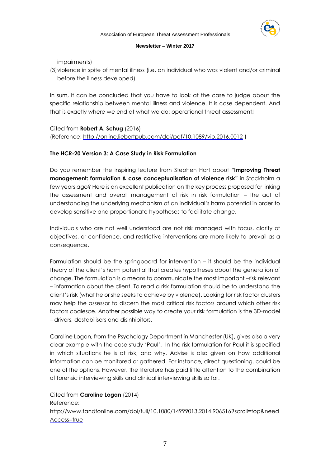

impairments)

(3)violence in spite of mental illness (i.e. an individual who was violent and/or criminal before the illness developed)

In sum, it can be concluded that you have to look at the case to judge about the specific relationship between mental illness and violence. It is case dependent. And that is exactly where we end at what we do: operational threat assessment!

Cited from **Robert A. Schug** (2016) (Reference: <http://online.liebertpub.com/doi/pdf/10.1089/vio.2016.0012> )

# **The HCR-20 Version 3: A Case Study in Risk Formulation**

Do you remember the inspiring lecture from Stephen Hart about **"Improving Threat management: formulation & case conceptualisation of violence risk"** in Stockholm a few years ago? Here is an excellent publication on the key process proposed for linking the assessment and overall management of risk in risk formulation – the act of understanding the underlying mechanism of an individual's harm potential in order to develop sensitive and proportionate hypotheses to facilitate change.

Individuals who are not well understood are not risk managed with focus, clarity of objectives, or confidence, and restrictive interventions are more likely to prevail as a consequence.

Formulation should be the springboard for intervention – it should be the individual theory of the client's harm potential that creates hypotheses about the generation of change. The formulation is a means to communicate the most important –risk relevant – information about the client. To read a risk formulation should be to understand the client's risk (what he or she seeks to achieve by violence). Looking for risk factor clusters may help the assessor to discern the most critical risk factors around which other risk factors coalesce. Another possible way to create your risk formulation is the 3D-model – drivers, destabilisers and disinhibitors.

Caroline Logan, from the Psychology Department in Manchester (UK), gives also a very clear example with the case study 'Paul'. In the risk formulation for Paul it is specified in which situations he is at risk, and why. Advise is also given on how additional information can be monitored or gathered. For instance, direct questioning, could be one of the options. However, the literature has paid little attention to the combination of forensic interviewing skills and clinical interviewing skills so far.

Cited from **Caroline Logan** (2014) Reference: [http://www.tandfonline.com/doi/full/10.1080/14999013.2014.906516?scroll=top&need](http://www.tandfonline.com/doi/full/10.1080/14999013.2014.906516?scroll=top&needAccess=true) [Access=true](http://www.tandfonline.com/doi/full/10.1080/14999013.2014.906516?scroll=top&needAccess=true)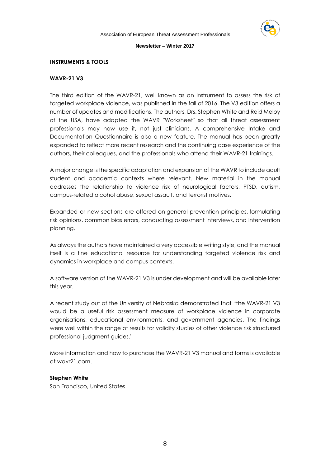

# **INSTRUMENTS & TOOLS**

# **WAVR-21 V3**

The third edition of the WAVR-21, well known as an instrument to assess the risk of targeted workplace violence, was published in the fall of 2016. The V3 edition offers a number of updates and modifications. The authors, Drs. Stephen White and Reid Meloy of the USA, have adapted the WAVR "Worksheet" so that all threat assessment professionals may now use it, not just clinicians. A comprehensive Intake and Documentation Questionnaire is also a new feature. The manual has been greatly expanded to reflect more recent research and the continuing case experience of the authors, their colleagues, and the professionals who attend their WAVR-21 trainings.

A major change is the specific adaptation and expansion of the WAVR to include adult student and academic contexts where relevant. New material in the manual addresses the relationship to violence risk of neurological factors, PTSD, autism, campus-related alcohol abuse, sexual assault, and terrorist motives.

Expanded or new sections are offered on general prevention principles**,** formulating risk opinions, common bias errors, conducting assessment interviews, and intervention planning.

As always the authors have maintained a very accessible writing style, and the manual itself is a fine educational resource for understanding targeted violence risk and dynamics in workplace and campus contexts.

A software version of the WAVR-21 V3 is under development and will be available later this year.

A recent study out of the University of Nebraska demonstrated that "the WAVR-21 V3 would be a useful risk assessment measure of workplace violence in corporate organisations, educational environments, and government agencies. The findings were well within the range of results for validity studies of other violence risk structured professional judgment guides."

More information and how to purchase the WAVR-21 V3 manual and forms is available at [wavr21.com.](http://wavr21.com/)

# **Stephen White**

San Francisco, United States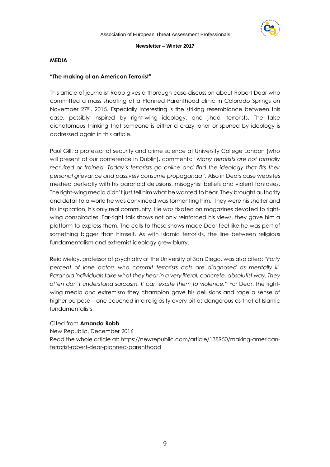

## **MEDIA**

## **"The making of an American Terrorist"**

This article of journalist Robb gives a thorough case discussion about Robert Dear who committed a mass shooting at a Planned Parenthood clinic in Colorado Springs on November 27<sup>th</sup>, 2015. Especially interesting is the striking resemblance between this case, possibly inspired by right-wing ideology, and jihadi terrorists. The false dichotomous thinking that someone is either a crazy loner or spurred by ideology is addressed again in this article.

Paul Gill, a professor of security and crime science at University College London (who will present at our conference in Dublin), comments: *"Many terrorists are not formally recruited or trained. Today's terrorists go online and find the ideology that fits their personal grievance and passively consume propaganda".* Also in Dears case websites meshed perfectly with his paranoid delusions, misogynist beliefs and violent fantasies. The right-wing media didn't just tell him what he wanted to hear. They brought authority and detail to a world he was convinced was tormenting him. They were his shelter and his inspiration, his only real community. He was fixated on magazines devoted to rightwing conspiracies. Far-right talk shows not only reinforced his views, they gave him a platform to express them. The calls to these shows made Dear feel like he was part of something bigger than himself. As with Islamic terrorists, the line between religious fundamentalism and extremist ideology grew blurry.

Reid Meloy, professor of psychiatry at the University of San Diego, was also cited: *"Forty percent of lone actors who commit terrorists acts are diagnosed as mentally ill. Paranoid individuals take what they hear in a very literal, concrete, absolutist way. They often don't understand sarcasm. It can excite them to violence."* For Dear, the rightwing media and extremism they champion gave his delusions and rage a sense of higher purpose – one couched in a religiosity every bit as dangerous as that of Islamic fundamentalists.

#### Cited from **Amanda Robb**

New Republic, December 2016 Read the whole article at: [https://newrepublic.com/article/138950/making-american](https://newrepublic.com/article/138950/making-american-terrorist-robert-dear-planned-parenthood)[terrorist-robert-dear-planned-parenthood](https://newrepublic.com/article/138950/making-american-terrorist-robert-dear-planned-parenthood)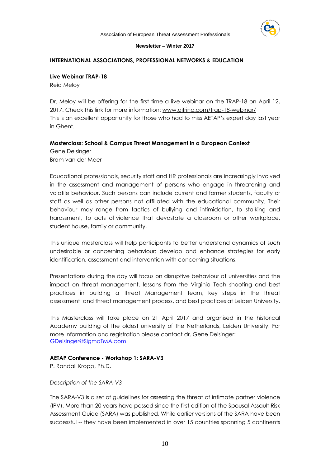

## **INTERNATIONAL ASSOCIATIONS, PROFESSIONAL NETWORKS & EDUCATION**

## **Live Webinar TRAP-18**

Reid Meloy

Dr. Meloy will be offering for the first time a live webinar on the TRAP-18 on April 12, 2017. Check this link for more information: [www.gifrinc.com/trap-18-webinar/](http://www.gifrinc.com/trap-18-webinar/) This is an excellent opportunity for those who had to miss AETAP's expert day last year in Ghent.

## **Masterclass: School & Campus Threat Management in a European Context**

Gene Deisinger Bram van der Meer

Educational professionals, security staff and HR professionals are increasingly involved in the assessment and management of persons who engage in threatening and volatile behaviour. Such persons can include current and former students, faculty or staff as well as other persons not affiliated with the educational community. Their behaviour may range from tactics of bullying and intimidation, to stalking and harassment, to acts of violence that devastate a classroom or other workplace, student house, family or community.

This unique masterclass will help participants to better understand dynamics of such undesirable or concerning behaviour: develop and enhance strategies for early identification, assessment and intervention with concerning situations.

Presentations during the day will focus on disruptive behaviour at universities and the impact on threat management, lessons from the Virginia Tech shooting and best practices in building a threat Management team, key steps in the threat assessment and threat management process, and best practices at Leiden University.

This Masterclass will take place on 21 April 2017 and organised in the historical Academy building of the oldest university of the Netherlands, Leiden University. For more information and registration please contact dr. Gene Deisinger: [GDeisinger@SigmaTMA.com](mailto:GDeisinger@SigmaTMA.com)

## **AETAP Conference - Workshop 1: SARA-V3**

P. Randall Kropp, Ph.D.

#### *Description of the SARA-V3*

The SARA-V3 is a set of guidelines for assessing the threat of intimate partner violence (IPV). More than 20 years have passed since the first edition of the Spousal Assault Risk Assessment Guide (SARA) was published. While earlier versions of the SARA have been successful -- they have been implemented in over 15 countries spanning 5 continents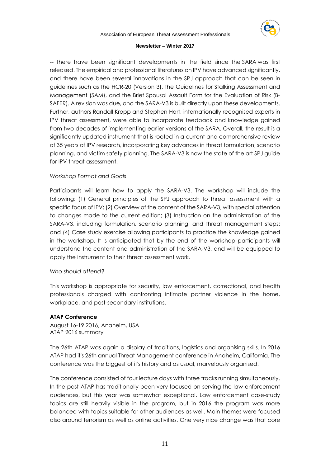

-- there have been significant developments in the field since the SARA was first released. The empirical and professional literatures on IPV have advanced significantly, and there have been several innovations in the SPJ approach that can be seen in guidelines such as the HCR-20 (Version 3), the Guidelines for Stalking Assessment and Management (SAM), and the Brief Spousal Assault Form for the Evaluation of Risk (B-SAFER). A revision was due, and the SARA-V3 is built directly upon these developments. Further, authors Randall Kropp and Stephen Hart, internationally recognised experts in IPV threat assessment, were able to incorporate feedback and knowledge gained from two decades of implementing earlier versions of the SARA. Overall, the result is a significantly updated instrument that is rooted in a current and comprehensive review of 35 years of IPV research, incorporating key advances in threat formulation, scenario planning, and victim safety planning. The SARA-V3 is now the state of the art SPJ guide for IPV threat assessment.

# *Workshop Format and Goals*

Participants will learn how to apply the SARA-V3. The workshop will include the following: (1) General principles of the SPJ approach to threat assessment with a specific focus of IPV; (2) Overview of the content of the SARA-V3, with special attention to changes made to the current edition; (3) Instruction on the administration of the SARA-V3, including formulation, scenario planning, and threat management steps; and (4) Case study exercise allowing participants to practice the knowledge gained in the workshop. It is anticipated that by the end of the workshop participants will understand the content and administration of the SARA-V3, and will be equipped to apply the instrument to their threat assessment work.

# *Who should attend?*

This workshop is appropriate for security, law enforcement, correctional, and health professionals charged with confronting intimate partner violence in the home, workplace, and post-secondary institutions.

# **ATAP Conference**

August 16-19 2016, Anaheim, USA ATAP 2016 summary

The 26th ATAP was again a display of traditions, logistics and organising skills. In 2016 ATAP had it's 26th annual Threat Management conference in Anaheim, California. The conference was the biggest of it's history and as usual, marvelously organised.

The conference consisted of four lecture days with three tracks running simultaneously. In the past ATAP has traditionally been very focused on serving the law enforcement audiences, but this year was somewhat exceptional. Law enforcement case-study topics are still heavily visible in the program, but in 2016 the program was more balanced with topics suitable for other audiences as well. Main themes were focused also around terrorism as well as online activities. One very nice change was that core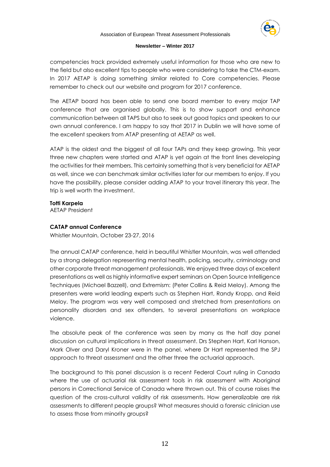

competencies track provided extremely useful information for those who are new to the field but also excellent tips to people who were considering to take the CTM-exam. In 2017 AETAP is doing something similar related to Core competencies. Please remember to check out our website and program for 2017 conference.

The AETAP board has been able to send one board member to every major TAP conference that are organised globally. This is to show support and enhance communication between all TAPS but also to seek out good topics and speakers to our own annual conference. I am happy to say that 2017 in Dublin we will have some of the excellent speakers from ATAP presenting at AETAP as well.

ATAP is the oldest and the biggest of all four TAPs and they keep growing. This year three new chapters were started and ATAP is yet again at the front lines developing the activities for their members. This certainly something that is very beneficial for AETAP as well, since we can benchmark similar activities later for our members to enjoy. If you have the possibility, please consider adding ATAP to your travel itinerary this year. The trip is well worth the investment.

**Totti Karpela** AETAP President

## **CATAP annual Conference**

Whistler Mountain, October 23-27, 2016

The annual CATAP conference, held in beautiful Whistler Mountain, was well attended by a strong delegation representing mental health, policing, security, criminology and other corporate threat management professionals. We enjoyed three days of excellent presentations as well as highly informative expert seminars on Open Source Intelligence Techniques (Michael Bazzell), and Extremism: (Peter Collins & Reid Meloy). Among the presenters were world leading experts such as Stephen Hart, Randy Kropp, and Reid Meloy. The program was very well composed and stretched from presentations on personality disorders and sex offenders, to several presentations on workplace violence.

The absolute peak of the conference was seen by many as the half day panel discussion on cultural implications in threat assessment. Drs Stephen Hart, Karl Hanson, Mark Olver and Daryl Kroner were in the panel, where Dr Hart represented the SPJ approach to threat assessment and the other three the actuarial approach.

The background to this panel discussion is a recent Federal Court ruling in Canada where the use of actuarial risk assessment tools in risk assessment with Aboriginal persons in Correctional Service of Canada where thrown out. This of course raises the question of the cross-cultural validity of risk assessments. How generalizable are risk assessments to different people groups? What measures should a forensic clinician use to assess those from minority groups?